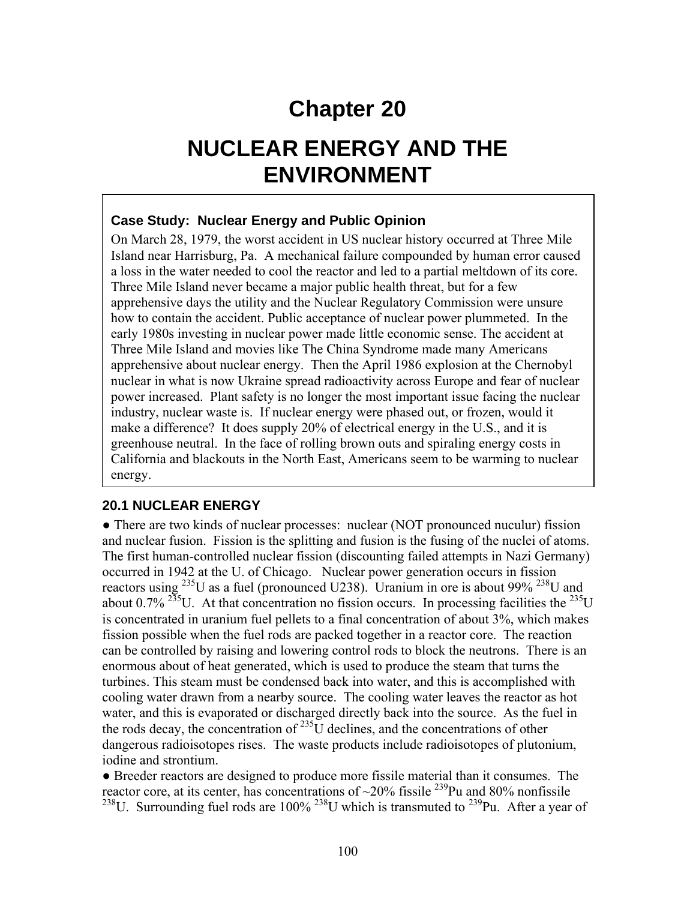# **Chapter 20**

# **NUCLEAR ENERGY AND THE ENVIRONMENT**

#### **Case Study: Nuclear Energy and Public Opinion**

On March 28, 1979, the worst accident in US nuclear history occurred at Three Mile Island near Harrisburg, Pa. A mechanical failure compounded by human error caused a loss in the water needed to cool the reactor and led to a partial meltdown of its core. Three Mile Island never became a major public health threat, but for a few apprehensive days the utility and the Nuclear Regulatory Commission were unsure how to contain the accident. Public acceptance of nuclear power plummeted. In the early 1980s investing in nuclear power made little economic sense. The accident at Three Mile Island and movies like The China Syndrome made many Americans apprehensive about nuclear energy. Then the April 1986 explosion at the Chernobyl nuclear in what is now Ukraine spread radioactivity across Europe and fear of nuclear power increased. Plant safety is no longer the most important issue facing the nuclear industry, nuclear waste is. If nuclear energy were phased out, or frozen, would it make a difference? It does supply 20% of electrical energy in the U.S., and it is greenhouse neutral. In the face of rolling brown outs and spiraling energy costs in California and blackouts in the North East, Americans seem to be warming to nuclear energy.

#### **20.1 NUCLEAR ENERGY**

• There are two kinds of nuclear processes: nuclear (NOT pronounced nuculur) fission and nuclear fusion. Fission is the splitting and fusion is the fusing of the nuclei of atoms. The first human-controlled nuclear fission (discounting failed attempts in Nazi Germany) occurred in 1942 at the U. of Chicago. Nuclear power generation occurs in fission reactors using  $^{235}$ U as a fuel (pronounced U238). Uranium in ore is about 99%  $^{238}$ U and about 0.7% <sup>235</sup>U. At that concentration no fission occurs. In processing facilities the <sup>235</sup>U is concentrated in uranium fuel pellets to a final concentration of about 3%, which makes fission possible when the fuel rods are packed together in a reactor core. The reaction can be controlled by raising and lowering control rods to block the neutrons. There is an enormous about of heat generated, which is used to produce the steam that turns the turbines. This steam must be condensed back into water, and this is accomplished with cooling water drawn from a nearby source. The cooling water leaves the reactor as hot water, and this is evaporated or discharged directly back into the source. As the fuel in the rods decay, the concentration of  $^{235}$ U declines, and the concentrations of other dangerous radioisotopes rises. The waste products include radioisotopes of plutonium, iodine and strontium.

● Breeder reactors are designed to produce more fissile material than it consumes. The reactor core, at its center, has concentrations of  $\sim$ 20% fissile <sup>239</sup>Pu and 80% nonfissile <sup>238</sup>U. Surrounding fuel rods are  $100\%$ <sup>238</sup>U which is transmuted to <sup>239</sup>Pu. After a year of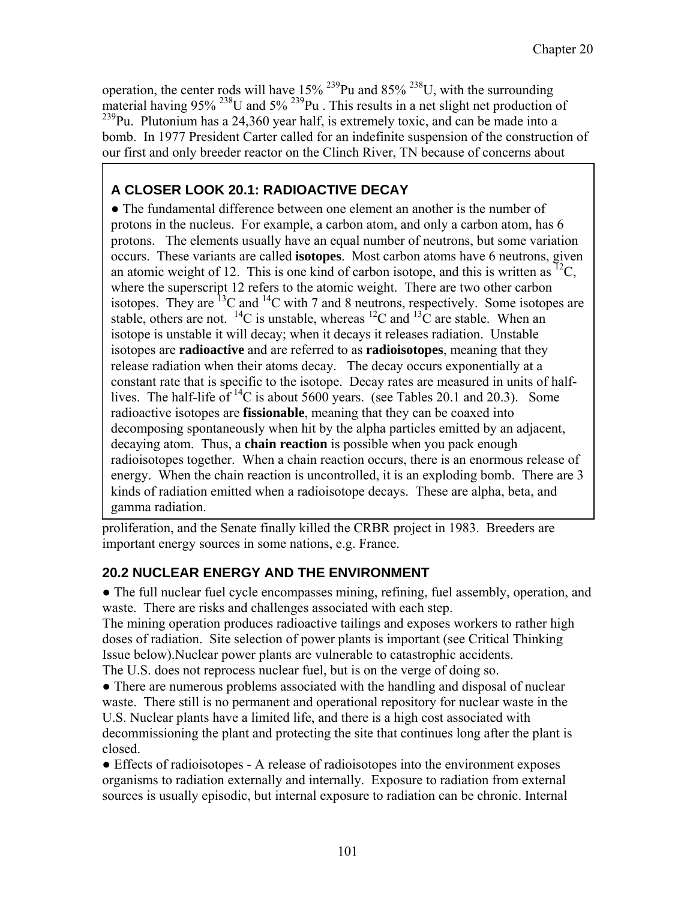operation, the center rods will have  $15\%$  <sup>239</sup>Pu and 85% <sup>238</sup>U, with the surrounding material having 95%  $^{238}$ U and 5%  $^{239}$ Pu . This results in a net slight net production of  $^{239}$ Pu. Plutonium has a 24,360 year half, is extremely toxic, and can be made into a bomb. In 1977 President Carter called for an indefinite suspension of the construction of our first and only breeder reactor on the Clinch River, TN because of concerns about

## **A CLOSER LOOK 20.1: RADIOACTIVE DECAY**

• The fundamental difference between one element an another is the number of protons in the nucleus. For example, a carbon atom, and only a carbon atom, has 6 protons. The elements usually have an equal number of neutrons, but some variation occurs. These variants are called **isotopes**. Most carbon atoms have 6 neutrons, given an atomic weight of 12. This is one kind of carbon isotope, and this is written as <sup>12</sup>C, where the superscript 12 refers to the atomic weight. There are two other carbon isotopes. They are  ${}^{13}C$  and  ${}^{14}C$  with 7 and 8 neutrons, respectively. Some isotopes are stable, others are not.  $^{14}C$  is unstable, whereas  $^{12}C$  and  $^{13}C$  are stable. When an isotope is unstable it will decay; when it decays it releases radiation. Unstable isotopes are **radioactive** and are referred to as **radioisotopes**, meaning that they release radiation when their atoms decay. The decay occurs exponentially at a constant rate that is specific to the isotope. Decay rates are measured in units of halflives. The half-life of  ${}^{14}C$  is about 5600 years. (see Tables 20.1 and 20.3). Some radioactive isotopes are **fissionable**, meaning that they can be coaxed into decomposing spontaneously when hit by the alpha particles emitted by an adjacent, decaying atom. Thus, a **chain reaction** is possible when you pack enough radioisotopes together. When a chain reaction occurs, there is an enormous release of energy. When the chain reaction is uncontrolled, it is an exploding bomb. There are 3 kinds of radiation emitted when a radioisotope decays. These are alpha, beta, and gamma radiation.

proliferation, and the Senate finally killed the CRBR project in 1983. Breeders are important energy sources in some nations, e.g. France.

### **20.2 NUCLEAR ENERGY AND THE ENVIRONMENT**

● The full nuclear fuel cycle encompasses mining, refining, fuel assembly, operation, and waste. There are risks and challenges associated with each step.

The mining operation produces radioactive tailings and exposes workers to rather high doses of radiation. Site selection of power plants is important (see Critical Thinking Issue below).Nuclear power plants are vulnerable to catastrophic accidents. The U.S. does not reprocess nuclear fuel, but is on the verge of doing so.

• There are numerous problems associated with the handling and disposal of nuclear waste. There still is no permanent and operational repository for nuclear waste in the U.S. Nuclear plants have a limited life, and there is a high cost associated with decommissioning the plant and protecting the site that continues long after the plant is closed.

● Effects of radioisotopes - A release of radioisotopes into the environment exposes organisms to radiation externally and internally. Exposure to radiation from external sources is usually episodic, but internal exposure to radiation can be chronic. Internal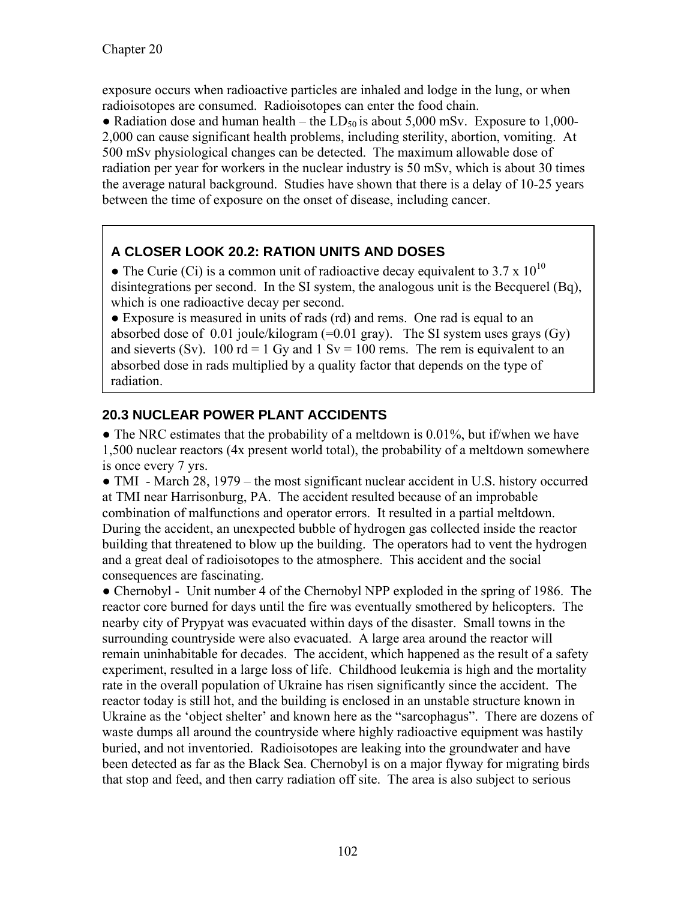exposure occurs when radioactive particles are inhaled and lodge in the lung, or when radioisotopes are consumed. Radioisotopes can enter the food chain.

• Radiation dose and human health – the  $LD_{50}$  is about 5,000 mSv. Exposure to 1,000-2,000 can cause significant health problems, including sterility, abortion, vomiting. At 500 mSv physiological changes can be detected. The maximum allowable dose of radiation per year for workers in the nuclear industry is 50 mSv, which is about 30 times the average natural background. Studies have shown that there is a delay of 10-25 years between the time of exposure on the onset of disease, including cancer.

### **A CLOSER LOOK 20.2: RATION UNITS AND DOSES**

• The Curie (Ci) is a common unit of radioactive decay equivalent to 3.7 x  $10^{10}$ disintegrations per second. In the SI system, the analogous unit is the Becquerel (Bq), which is one radioactive decay per second.

● Exposure is measured in units of rads (rd) and rems. One rad is equal to an absorbed dose of 0.01 joule/kilogram  $(=0.01$  gray). The SI system uses grays  $(Gy)$ and sieverts (Sv). 100 rd = 1 Gy and 1 Sv = 100 rems. The rem is equivalent to an absorbed dose in rads multiplied by a quality factor that depends on the type of radiation.

# **20.3 NUCLEAR POWER PLANT ACCIDENTS**

 $\bullet$  The NRC estimates that the probability of a meltdown is 0.01%, but if/when we have 1,500 nuclear reactors (4x present world total), the probability of a meltdown somewhere is once every 7 yrs.

• TMI - March 28, 1979 – the most significant nuclear accident in U.S. history occurred at TMI near Harrisonburg, PA. The accident resulted because of an improbable combination of malfunctions and operator errors. It resulted in a partial meltdown. During the accident, an unexpected bubble of hydrogen gas collected inside the reactor building that threatened to blow up the building. The operators had to vent the hydrogen and a great deal of radioisotopes to the atmosphere. This accident and the social consequences are fascinating.

• Chernobyl - Unit number 4 of the Chernobyl NPP exploded in the spring of 1986. The reactor core burned for days until the fire was eventually smothered by helicopters. The nearby city of Prypyat was evacuated within days of the disaster. Small towns in the surrounding countryside were also evacuated. A large area around the reactor will remain uninhabitable for decades. The accident, which happened as the result of a safety experiment, resulted in a large loss of life. Childhood leukemia is high and the mortality rate in the overall population of Ukraine has risen significantly since the accident. The reactor today is still hot, and the building is enclosed in an unstable structure known in Ukraine as the 'object shelter' and known here as the "sarcophagus". There are dozens of waste dumps all around the countryside where highly radioactive equipment was hastily buried, and not inventoried. Radioisotopes are leaking into the groundwater and have been detected as far as the Black Sea. Chernobyl is on a major flyway for migrating birds that stop and feed, and then carry radiation off site. The area is also subject to serious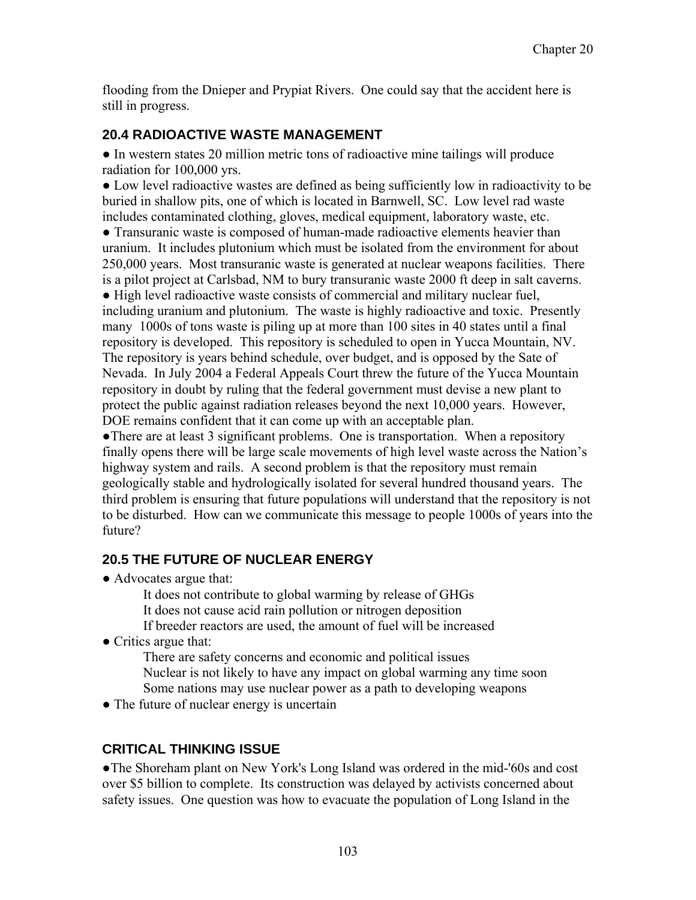flooding from the Dnieper and Prypiat Rivers. One could say that the accident here is still in progress.

#### **20.4 RADIOACTIVE WASTE MANAGEMENT**

● In western states 20 million metric tons of radioactive mine tailings will produce radiation for 100,000 yrs.

● Low level radioactive wastes are defined as being sufficiently low in radioactivity to be buried in shallow pits, one of which is located in Barnwell, SC. Low level rad waste includes contaminated clothing, gloves, medical equipment, laboratory waste, etc.

● Transuranic waste is composed of human-made radioactive elements heavier than uranium. It includes plutonium which must be isolated from the environment for about 250,000 years. Most transuranic waste is generated at nuclear weapons facilities. There is a pilot project at Carlsbad, NM to bury transuranic waste 2000 ft deep in salt caverns.

● High level radioactive waste consists of commercial and military nuclear fuel, including uranium and plutonium. The waste is highly radioactive and toxic. Presently many 1000s of tons waste is piling up at more than 100 sites in 40 states until a final repository is developed. This repository is scheduled to open in Yucca Mountain, NV. The repository is years behind schedule, over budget, and is opposed by the Sate of Nevada. In July 2004 a Federal Appeals Court threw the future of the Yucca Mountain repository in doubt by ruling that the federal government must devise a new plant to protect the public against radiation releases beyond the next 10,000 years. However, DOE remains confident that it can come up with an acceptable plan.

●There are at least 3 significant problems. One is transportation. When a repository finally opens there will be large scale movements of high level waste across the Nation's highway system and rails. A second problem is that the repository must remain geologically stable and hydrologically isolated for several hundred thousand years. The third problem is ensuring that future populations will understand that the repository is not to be disturbed. How can we communicate this message to people 1000s of years into the future?

### **20.5 THE FUTURE OF NUCLEAR ENERGY**

• Advocates argue that:

It does not contribute to global warming by release of GHGs It does not cause acid rain pollution or nitrogen deposition If breeder reactors are used, the amount of fuel will be increased

• Critics argue that:

 There are safety concerns and economic and political issues Nuclear is not likely to have any impact on global warming any time soon Some nations may use nuclear power as a path to developing weapons

• The future of nuclear energy is uncertain

### **CRITICAL THINKING ISSUE**

●The Shoreham plant on New York's Long Island was ordered in the mid-'60s and cost over \$5 billion to complete. Its construction was delayed by activists concerned about safety issues. One question was how to evacuate the population of Long Island in the